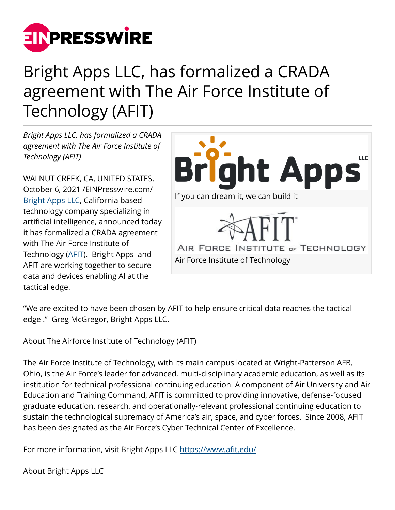

## Bright Apps LLC, has formalized a CRADA agreement with The Air Force Institute of Technology (AFIT)

*Bright Apps LLC, has formalized a CRADA agreement with The Air Force Institute of Technology (AFIT)*

WALNUT CREEK, CA, UNITED STATES, October 6, 2021 [/EINPresswire.com/](http://www.einpresswire.com) -- [Bright Apps LLC,](https://brightappsllc.com/?p=1388&preview=true&_thumbnail_id=1392) California based technology company specializing in artificial intelligence, announced today it has formalized a CRADA agreement with The Air Force Institute of Technology ([AFIT](https://www.afit.edu/)). Bright Apps and AFIT are working together to secure data and devices enabling AI at the tactical edge.



"We are excited to have been chosen by AFIT to help ensure critical data reaches the tactical edge ." Greg McGregor, Bright Apps LLC.

About The Airforce Institute of Technology (AFIT)

The Air Force Institute of Technology, with its main campus located at Wright-Patterson AFB, Ohio, is the Air Force's leader for advanced, multi-disciplinary academic education, as well as its institution for technical professional continuing education. A component of Air University and Air Education and Training Command, AFIT is committed to providing innovative, defense-focused graduate education, research, and operationally-relevant professional continuing education to sustain the technological supremacy of America's air, space, and cyber forces. Since 2008, AFIT has been designated as the Air Force's Cyber Technical Center of Excellence.

For more information, visit Bright Apps LLC <https://www.afit.edu/>

About Bright Apps LLC